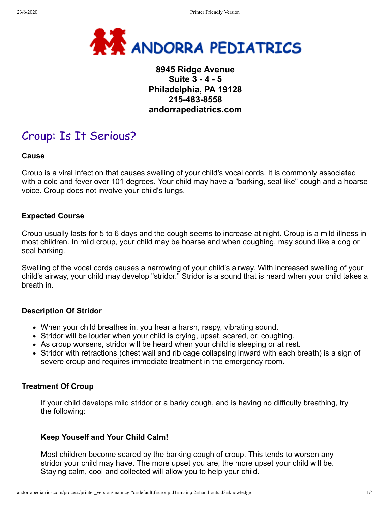

# **8945 Ridge Avenue Suite 3 - 4 - 5 Philadelphia, PA 19128 215-483-8558 andorrapediatrics.com**

# Croup: Is It Serious?

#### **Cause**

Croup is a viral infection that causes swelling of your child's vocal cords. It is commonly associated with a cold and fever over 101 degrees. Your child may have a "barking, seal like" cough and a hoarse voice. Croup does not involve your child's lungs.

#### **Expected Course**

Croup usually lasts for 5 to 6 days and the cough seems to increase at night. Croup is a mild illness in most children. In mild croup, your child may be hoarse and when coughing, may sound like a dog or seal barking.

Swelling of the vocal cords causes a narrowing of your child's airway. With increased swelling of your child's airway, your child may develop "stridor." Stridor is a sound that is heard when your child takes a breath in.

#### **Description Of Stridor**

- When your child breathes in, you hear a harsh, raspy, vibrating sound.
- Stridor will be louder when your child is crying, upset, scared, or, coughing.
- As croup worsens, stridor will be heard when your child is sleeping or at rest.
- Stridor with retractions (chest wall and rib cage collapsing inward with each breath) is a sign of severe croup and requires immediate treatment in the emergency room.

#### **Treatment Of Croup**

If your child develops mild stridor or a barky cough, and is having no difficulty breathing, try the following:

#### **Keep Youself and Your Child Calm!**

Most children become scared by the barking cough of croup. This tends to worsen any stridor your child may have. The more upset you are, the more upset your child will be. Staying calm, cool and collected will allow you to help your child.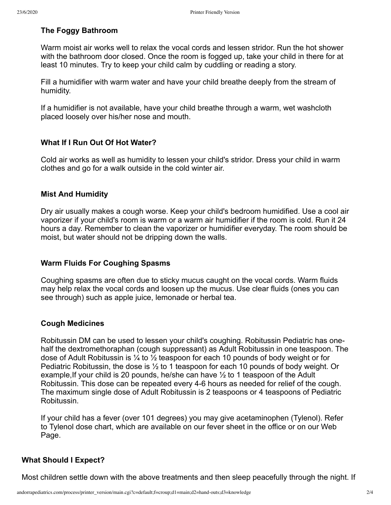# **The Foggy Bathroom**

Warm moist air works well to relax the vocal cords and lessen stridor. Run the hot shower with the bathroom door closed. Once the room is fogged up, take your child in there for at least 10 minutes. Try to keep your child calm by cuddling or reading a story.

Fill a humidifier with warm water and have your child breathe deeply from the stream of humidity.

If a humidifier is not available, have your child breathe through a warm, wet washcloth placed loosely over his/her nose and mouth.

# **What If I Run Out Of Hot Water?**

Cold air works as well as humidity to lessen your child's stridor. Dress your child in warm clothes and go for a walk outside in the cold winter air.

#### **Mist And Humidity**

Dry air usually makes a cough worse. Keep your child's bedroom humidified. Use a cool air vaporizer if your child's room is warm or a warm air humidifier if the room is cold. Run it 24 hours a day. Remember to clean the vaporizer or humidifier everyday. The room should be moist, but water should not be dripping down the walls.

#### **Warm Fluids For Coughing Spasms**

Coughing spasms are often due to sticky mucus caught on the vocal cords. Warm fluids may help relax the vocal cords and loosen up the mucus. Use clear fluids (ones you can see through) such as apple juice, lemonade or herbal tea.

# **Cough Medicines**

Robitussin DM can be used to lessen your child's coughing. Robitussin Pediatric has onehalf the dextromethoraphan (cough suppressant) as Adult Robitussin in one teaspoon. The dose of Adult Robitussin is ¼ to ½ teaspoon for each 10 pounds of body weight or for Pediatric Robitussin, the dose is ½ to 1 teaspoon for each 10 pounds of body weight. Or example, If your child is 20 pounds, he/she can have  $\frac{1}{2}$  to 1 teaspoon of the Adult Robitussin. This dose can be repeated every 4-6 hours as needed for relief of the cough. The maximum single dose of Adult Robitussin is 2 teaspoons or 4 teaspoons of Pediatric Robitussin.

If your child has a fever (over 101 degrees) you may give acetaminophen (Tylenol). Refer to Tylenol dose chart, which are available on our fever sheet in the office or on our Web Page.

# **What Should I Expect?**

Most children settle down with the above treatments and then sleep peacefully through the night. If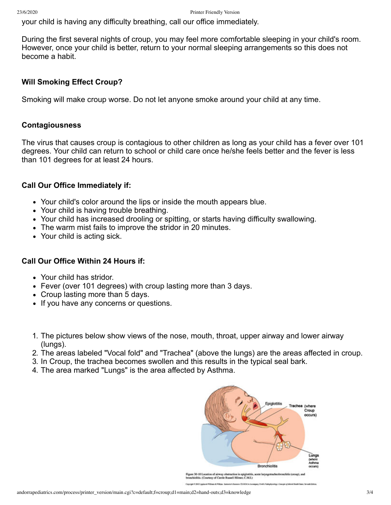your child is having any difficulty breathing, call our office immediately.

During the first several nights of croup, you may feel more comfortable sleeping in your child's room. However, once your child is better, return to your normal sleeping arrangements so this does not become a habit.

# **Will Smoking Effect Croup?**

Smoking will make croup worse. Do not let anyone smoke around your child at any time.

### **Contagiousness**

The virus that causes croup is contagious to other children as long as your child has a fever over 101 degrees. Your child can return to school or child care once he/she feels better and the fever is less than 101 degrees for at least 24 hours.

# **Call Our Office Immediately if:**

- Your child's color around the lips or inside the mouth appears blue.
- Your child is having trouble breathing.
- Your child has increased drooling or spitting, or starts having difficulty swallowing.
- The warm mist fails to improve the stridor in 20 minutes.
- Your child is acting sick.

# **Call Our Office Within 24 Hours if:**

- Your child has stridor.
- Fever (over 101 degrees) with croup lasting more than 3 days.
- Croup lasting more than 5 days.
- If you have any concerns or questions.
- 1. The pictures below show views of the nose, mouth, throat, upper airway and lower airway (lungs).
- 2. The areas labeled "Vocal fold" and "Trachea" (above the lungs) are the areas affected in croup.
- 3. In Croup, the trachea becomes swollen and this results in the typical seal bark.
- 4. The area marked "Lungs" is the area affected by Asthma.